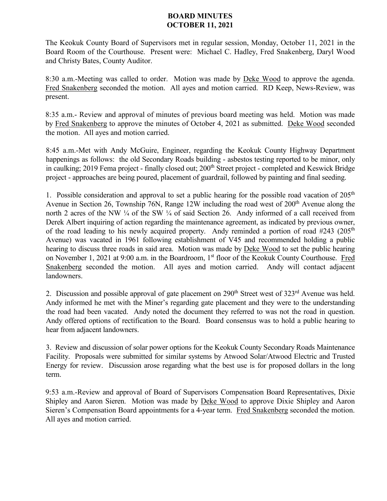## **BOARD MINUTES OCTOBER 11, 2021**

The Keokuk County Board of Supervisors met in regular session, Monday, October 11, 2021 in the Board Room of the Courthouse. Present were: Michael C. Hadley, Fred Snakenberg, Daryl Wood and Christy Bates, County Auditor.

8:30 a.m.-Meeting was called to order. Motion was made by Deke Wood to approve the agenda. Fred Snakenberg seconded the motion. All ayes and motion carried. RD Keep, News-Review, was present.

8:35 a.m.- Review and approval of minutes of previous board meeting was held. Motion was made by Fred Snakenberg to approve the minutes of October 4, 2021 as submitted. Deke Wood seconded the motion. All ayes and motion carried.

8:45 a.m.-Met with Andy McGuire, Engineer, regarding the Keokuk County Highway Department happenings as follows: the old Secondary Roads building - asbestos testing reported to be minor, only in caulking; 2019 Fema project - finally closed out; 200<sup>th</sup> Street project - completed and Keswick Bridge project - approaches are being poured, placement of guardrail, followed by painting and final seeding.

1. Possible consideration and approval to set a public hearing for the possible road vacation of  $205<sup>th</sup>$ Avenue in Section 26, Township 76N, Range 12W including the road west of 200<sup>th</sup> Avenue along the north 2 acres of the NW ¼ of the SW ¼ of said Section 26. Andy informed of a call received from Derek Albert inquiring of action regarding the maintenance agreement, as indicated by previous owner, of the road leading to his newly acquired property. Andy reminded a portion of road #243 (205<sup>th</sup>) Avenue) was vacated in 1961 following establishment of V45 and recommended holding a public hearing to discuss three roads in said area. Motion was made by Deke Wood to set the public hearing on November 1, 2021 at 9:00 a.m. in the Boardroom, 1<sup>st</sup> floor of the Keokuk County Courthouse. Fred Snakenberg seconded the motion. All ayes and motion carried. Andy will contact adjacent landowners.

2. Discussion and possible approval of gate placement on 290<sup>th</sup> Street west of 323<sup>rd</sup> Avenue was held. Andy informed he met with the Miner's regarding gate placement and they were to the understanding the road had been vacated. Andy noted the document they referred to was not the road in question. Andy offered options of rectification to the Board. Board consensus was to hold a public hearing to hear from adjacent landowners.

3. Review and discussion of solar power options for the Keokuk County Secondary Roads Maintenance Facility. Proposals were submitted for similar systems by Atwood Solar/Atwood Electric and Trusted Energy for review. Discussion arose regarding what the best use is for proposed dollars in the long term.

9:53 a.m.-Review and approval of Board of Supervisors Compensation Board Representatives, Dixie Shipley and Aaron Sieren. Motion was made by Deke Wood to approve Dixie Shipley and Aaron Sieren's Compensation Board appointments for a 4-year term. Fred Snakenberg seconded the motion. All ayes and motion carried.